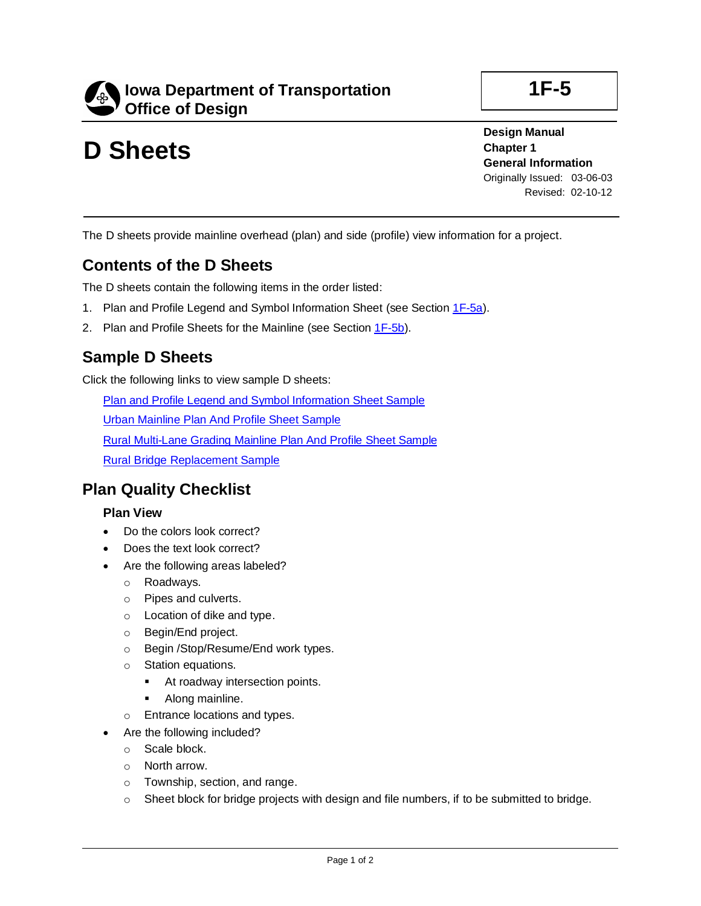

# **D Sheets**

**Design Manual Chapter 1 General Information** Originally Issued: 03-06-03 Revised: 02-10-12

**1F-5**

The D sheets provide mainline overhead (plan) and side (profile) view information for a project.

### **Contents of the D Sheets**

The D sheets contain the following items in the order listed:

- 1. Plan and Profile Legend and Symbol Information Sheet (see Section [1F-5a\)](01f-05a.pdf).
- 2. Plan and Profile Sheets for the Mainline (see Section [1F-5b\)](01f-05b.pdf).

## **Sample D Sheets**

Click the following links to view sample D sheets:

Plan and Profile Legend [and Symbol](01f-05/PlanAndProfileLegendAndSymbolInformationSheetSample.pdf) Information Sheet Sample

Urban [Mainline](01f-05/UrbanMainlinePlanAndProfileSheetSample.pdf) Plan And Profile Sheet Sample

Rural [Multi-Lane](01f-05/RuralMulti-LaneGradingMainlinePlanAndProfileSheetSample.pdf) Grading Mainline Plan And Profile Sheet Sample

Rural Bridge [Replacement](01f-05/RuralBridgeReplacementSample.pdf) Sample

### **Plan Quality Checklist**

#### **Plan View**

- Do the colors look correct?
- Does the text look correct?
- Are the following areas labeled?
	- o Roadways.
	- o Pipes and culverts.
	- o Location of dike and type.
	- o Begin/End project.
	- o Begin /Stop/Resume/End work types.
	- o Station equations.
		- At roadway intersection points.
		- Along mainline.
	- o Entrance locations and types.
	- Are the following included?
	- o Scale block.
	- o North arrow.
	- o Township, section, and range.
	- $\circ$  Sheet block for bridge projects with design and file numbers, if to be submitted to bridge.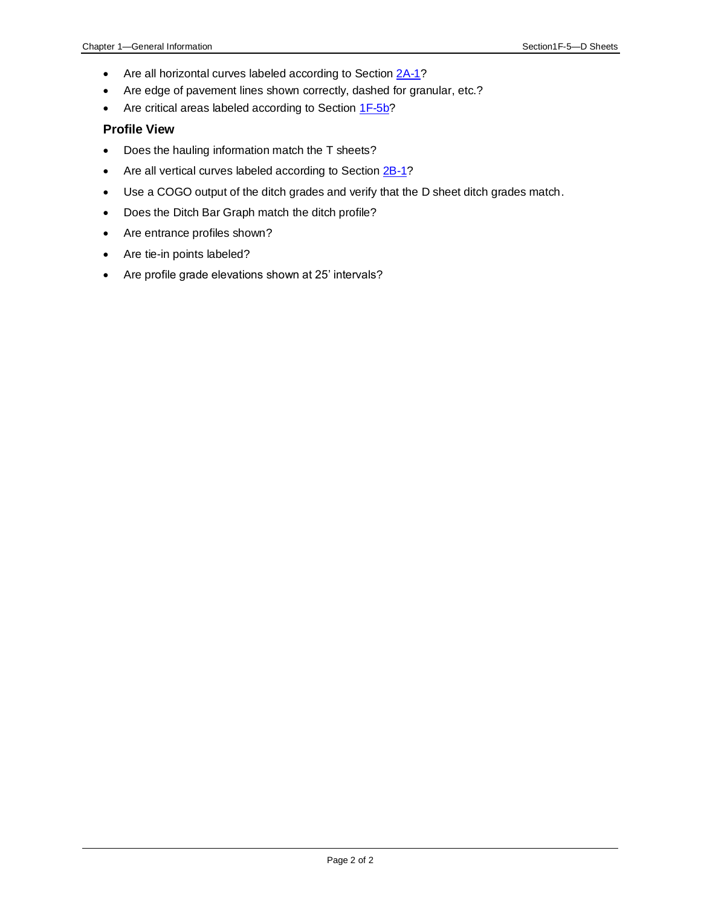- Are all horizontal curves labeled according to Section [2A-1?](02a-01.pdf)
- Are edge of pavement lines shown correctly, dashed for granular, etc.?
- Are critical areas labeled according to Sectio[n 1F-5b?](01f-05b.pdf)

#### **Profile View**

- Does the hauling information match the T sheets?
- Are all vertical curves labeled according to Section [2B-1?](02B-01.pdf)
- Use a COGO output of the ditch grades and verify that the D sheet ditch grades match.
- Does the Ditch Bar Graph match the ditch profile?
- Are entrance profiles shown?
- Are tie-in points labeled?
- Are profile grade elevations shown at 25' intervals?